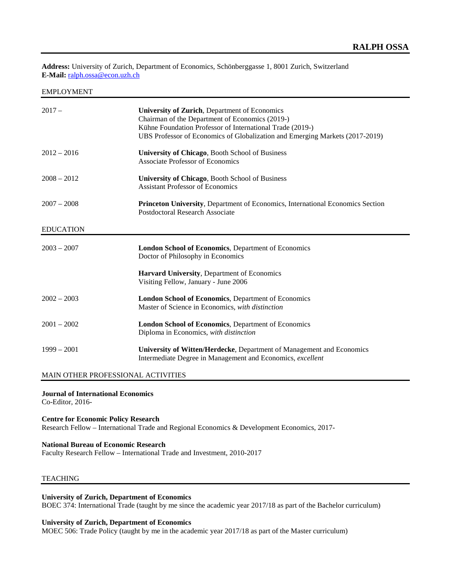**Address:** University of Zurich, Department of Economics, Schönberggasse 1, 8001 Zurich, Switzerland **E-Mail:** [ralph.ossa@econ.uzh.ch](mailto:ralph.ossa@econ.uzh.ch)

EMPLOYMENT

| $2017 -$         | University of Zurich, Department of Economics<br>Chairman of the Department of Economics (2019-)<br>Kühne Foundation Professor of International Trade (2019-)<br>UBS Professor of Economics of Globalization and Emerging Markets (2017-2019) |
|------------------|-----------------------------------------------------------------------------------------------------------------------------------------------------------------------------------------------------------------------------------------------|
| $2012 - 2016$    | University of Chicago, Booth School of Business<br><b>Associate Professor of Economics</b>                                                                                                                                                    |
| $2008 - 2012$    | University of Chicago, Booth School of Business<br><b>Assistant Professor of Economics</b>                                                                                                                                                    |
| $2007 - 2008$    | <b>Princeton University, Department of Economics, International Economics Section</b><br>Postdoctoral Research Associate                                                                                                                      |
| <b>EDUCATION</b> |                                                                                                                                                                                                                                               |
|                  |                                                                                                                                                                                                                                               |
| $2003 - 2007$    | <b>London School of Economics, Department of Economics</b><br>Doctor of Philosophy in Economics                                                                                                                                               |
|                  | <b>Harvard University, Department of Economics</b><br>Visiting Fellow, January - June 2006                                                                                                                                                    |
| $2002 - 2003$    | London School of Economics, Department of Economics<br>Master of Science in Economics, with distinction                                                                                                                                       |
| $2001 - 2002$    | London School of Economics, Department of Economics<br>Diploma in Economics, with distinction                                                                                                                                                 |

### MAIN OTHER PROFESSIONAL ACTIVITIES

**Journal of International Economics**

Co-Editor, 2016-

# **Centre for Economic Policy Research** Research Fellow – International Trade and Regional Economics & Development Economics, 2017-

# **National Bureau of Economic Research**

Faculty Research Fellow – International Trade and Investment, 2010-2017

# TEACHING

# **University of Zurich, Department of Economics**

BOEC 374: International Trade (taught by me since the academic year 2017/18 as part of the Bachelor curriculum)

# **University of Zurich, Department of Economics**

MOEC 506: Trade Policy (taught by me in the academic year 2017/18 as part of the Master curriculum)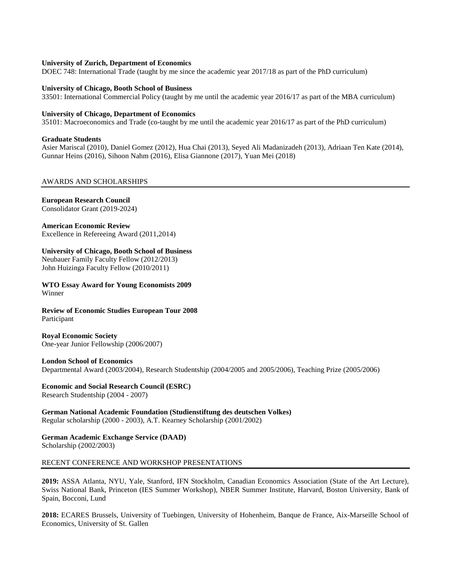### **University of Zurich, Department of Economics**

DOEC 748: International Trade (taught by me since the academic year 2017/18 as part of the PhD curriculum)

### **University of Chicago, Booth School of Business**

33501: International Commercial Policy (taught by me until the academic year 2016/17 as part of the MBA curriculum)

#### **University of Chicago, Department of Economics**

35101: Macroeconomics and Trade (co-taught by me until the academic year 2016/17 as part of the PhD curriculum)

#### **Graduate Students**

Asier Mariscal (2010), Daniel Gomez (2012), Hua Chai (2013), Seyed Ali Madanizadeh (2013), Adriaan Ten Kate (2014), Gunnar Heins (2016), Sihoon Nahm (2016), Elisa Giannone (2017), Yuan Mei (2018)

# AWARDS AND SCHOLARSHIPS

### **European Research Council**

Consolidator Grant (2019-2024)

### **American Economic Review**

Excellence in Refereeing Award (2011,2014)

### **University of Chicago, Booth School of Business**

Neubauer Family Faculty Fellow (2012/2013) John Huizinga Faculty Fellow (2010/2011)

**WTO Essay Award for Young Economists 2009** Winner

**Review of Economic Studies European Tour 2008** Participant

**Royal Economic Society** One-year Junior Fellowship (2006/2007)

#### **London School of Economics**

Departmental Award (2003/2004), Research Studentship (2004/2005 and 2005/2006), Teaching Prize (2005/2006)

#### **Economic and Social Research Council (ESRC)** Research Studentship (2004 - 2007)

**German National Academic Foundation (Studienstiftung des deutschen Volkes)** Regular scholarship (2000 - 2003), A.T. Kearney Scholarship (2001/2002)

### **German Academic Exchange Service (DAAD)** Scholarship (2002/2003)

#### RECENT CONFERENCE AND WORKSHOP PRESENTATIONS

**2019:** ASSA Atlanta, NYU, Yale, Stanford, IFN Stockholm, Canadian Economics Association (State of the Art Lecture), Swiss National Bank, Princeton (IES Summer Workshop), NBER Summer Institute, Harvard, Boston University, Bank of Spain, Bocconi, Lund

**2018:** ECARES Brussels, University of Tuebingen, University of Hohenheim, Banque de France, Aix-Marseille School of Economics, University of St. Gallen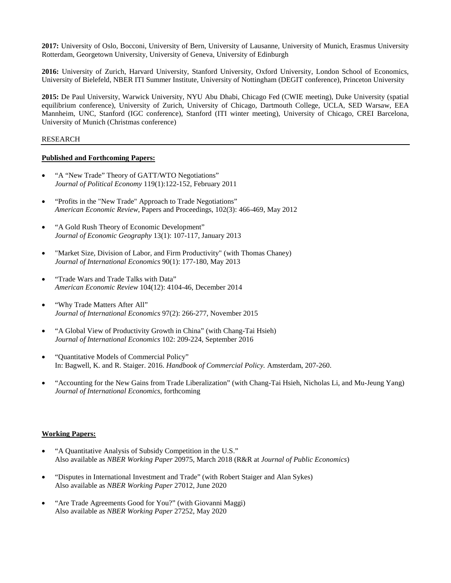**2017:** University of Oslo, Bocconi, University of Bern, University of Lausanne, University of Munich, Erasmus University Rotterdam, Georgetown University, University of Geneva, University of Edinburgh

**2016:** University of Zurich, Harvard University, Stanford University, Oxford University, London School of Economics, University of Bielefeld, NBER ITI Summer Institute, University of Nottingham (DEGIT conference), Princeton University

**2015:** De Paul University, Warwick University, NYU Abu Dhabi, Chicago Fed (CWIE meeting), Duke University (spatial equilibrium conference), University of Zurich, University of Chicago, Dartmouth College, UCLA, SED Warsaw, EEA Mannheim, UNC, Stanford (IGC conference), Stanford (ITI winter meeting), University of Chicago, CREI Barcelona, University of Munich (Christmas conference)

# RESEARCH

# **Published and Forthcoming Papers:**

- "A "New Trade" Theory of GATT/WTO Negotiations" *Journal of Political Economy* 119(1):122-152, February 2011
- "Profits in the "New Trade" Approach to Trade Negotiations" *American Economic Review*, Papers and Proceedings, 102(3): 466-469, May 2012
- "A Gold Rush Theory of Economic Development" *Journal of Economic Geography* 13(1): 107-117, January 2013
- "Market Size, Division of Labor, and Firm Productivity" (with Thomas Chaney) *Journal of International Economics* 90(1): 177-180, May 2013
- "Trade Wars and Trade Talks with Data" *American Economic Review* 104(12): 4104-46, December 2014
- "Why Trade Matters After All" *Journal of International Economics* 97(2): 266-277, November 2015
- "A Global View of Productivity Growth in China" (with Chang-Tai Hsieh) *Journal of International Economics* 102: 209-224, September 2016
- "Quantitative Models of Commercial Policy" In: Bagwell, K. and R. Staiger. 2016. *Handbook of Commercial Policy.* Amsterdam, 207-260.
- "Accounting for the New Gains from Trade Liberalization" (with Chang-Tai Hsieh, Nicholas Li, and Mu-Jeung Yang) *Journal of International Economics*, forthcoming

# **Working Papers:**

- "A Quantitative Analysis of Subsidy Competition in the U.S." Also available as *NBER Working Paper* 20975, March 2018 (R&R at *Journal of Public Economics*)
- "Disputes in International Investment and Trade" (with Robert Staiger and Alan Sykes) Also available as *NBER Working Paper* 27012, June 2020
- "Are Trade Agreements Good for You?" (with Giovanni Maggi) Also available as *NBER Working Paper* 27252, May 2020